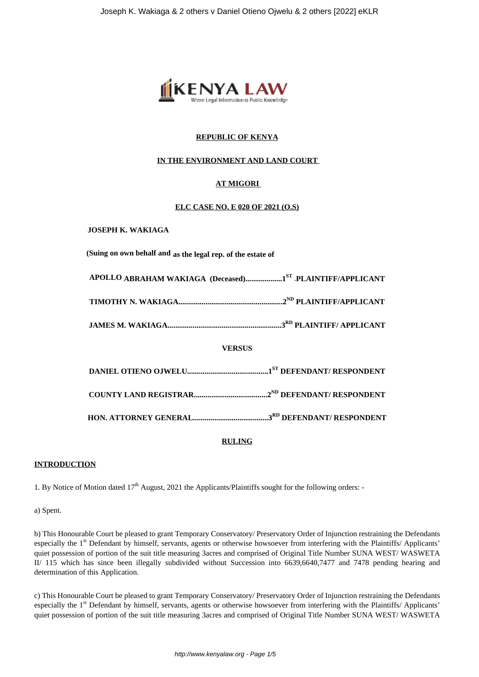

# **REPUBLIC OF KENYA**

# **IN THE ENVIRONMENT AND LAND COURT**

# **AT MIGORI**

#### **ELC CASE NO. E 020 OF 2021 (O.S)**

#### **JOSEPH K. WAKIAGA**

**(Suing on own behalf and as the legal rep. of the estate of**

| APOLLO ABRAHAM WAKIAGA (Deceased)1ST .PLAINTIFF/APPLICANT |  |
|-----------------------------------------------------------|--|
|                                                           |  |
|                                                           |  |

**JAMES M. WAKIAGA...........................................................3RD PLAINTIFF/ APPLICANT**

# **VERSUS**

# **RULING**

# **INTRODUCTION**

1. By Notice of Motion dated  $17<sup>th</sup>$  August, 2021 the Applicants/Plaintiffs sought for the following orders: -

a) Spent.

b) This Honourable Court be pleased to grant Temporary Conservatory/ Preservatory Order of Injunction restraining the Defendants especially the 1<sup>st</sup> Defendant by himself, servants, agents or otherwise howsoever from interfering with the Plaintiffs/ Applicants' quiet possession of portion of the suit title measuring 3acres and comprised of Original Title Number SUNA WEST/ WASWETA II/ 115 which has since been illegally subdivided without Succession into 6639,6640,7477 and 7478 pending hearing and determination of this Application.

c) This Honourable Court be pleased to grant Temporary Conservatory/ Preservatory Order of Injunction restraining the Defendants especially the 1<sup>st</sup> Defendant by himself, servants, agents or otherwise howsoever from interfering with the Plaintiffs/ Applicants' quiet possession of portion of the suit title measuring 3acres and comprised of Original Title Number SUNA WEST/ WASWETA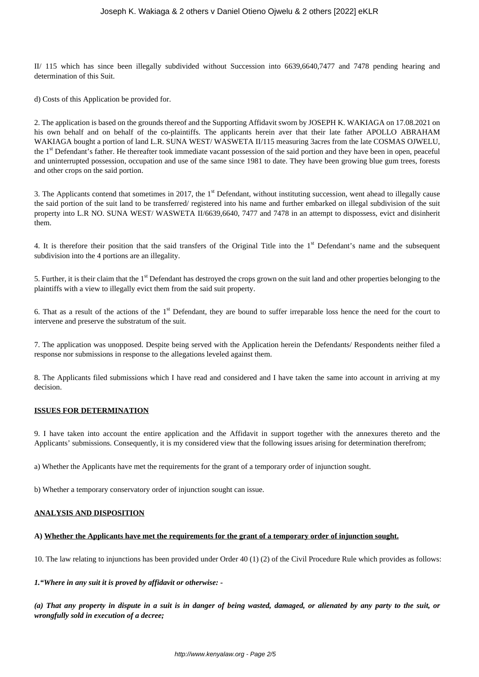II/ 115 which has since been illegally subdivided without Succession into 6639,6640,7477 and 7478 pending hearing and determination of this Suit.

d) Costs of this Application be provided for.

2. The application is based on the grounds thereof and the Supporting Affidavit sworn by JOSEPH K. WAKIAGA on 17.08.2021 on his own behalf and on behalf of the co-plaintiffs. The applicants herein aver that their late father APOLLO ABRAHAM WAKIAGA bought a portion of land L.R. SUNA WEST/ WASWETA II/115 measuring 3acres from the late COSMAS OJWELU, the 1<sup>st</sup> Defendant's father. He thereafter took immediate vacant possession of the said portion and they have been in open, peaceful and uninterrupted possession, occupation and use of the same since 1981 to date. They have been growing blue gum trees, forests and other crops on the said portion.

3. The Applicants contend that sometimes in 2017, the  $1<sup>st</sup>$  Defendant, without instituting succession, went ahead to illegally cause the said portion of the suit land to be transferred/ registered into his name and further embarked on illegal subdivision of the suit property into L.R NO. SUNA WEST/ WASWETA II/6639,6640, 7477 and 7478 in an attempt to dispossess, evict and disinherit them.

4. It is therefore their position that the said transfers of the Original Title into the  $1<sup>st</sup>$  Defendant's name and the subsequent subdivision into the 4 portions are an illegality.

5. Further, it is their claim that the 1<sup>st</sup> Defendant has destroyed the crops grown on the suit land and other properties belonging to the plaintiffs with a view to illegally evict them from the said suit property.

6. That as a result of the actions of the 1<sup>st</sup> Defendant, they are bound to suffer irreparable loss hence the need for the court to intervene and preserve the substratum of the suit.

7. The application was unopposed. Despite being served with the Application herein the Defendants/ Respondents neither filed a response nor submissions in response to the allegations leveled against them.

8. The Applicants filed submissions which I have read and considered and I have taken the same into account in arriving at my decision.

# **ISSUES FOR DETERMINATION**

9. I have taken into account the entire application and the Affidavit in support together with the annexures thereto and the Applicants' submissions. Consequently, it is my considered view that the following issues arising for determination therefrom;

a) Whether the Applicants have met the requirements for the grant of a temporary order of injunction sought.

b) Whether a temporary conservatory order of injunction sought can issue.

# **ANALYSIS AND DISPOSITION**

#### **A) Whether the Applicants have met the requirements for the grant of a temporary order of injunction sought.**

10. The law relating to injunctions has been provided under Order 40 (1) (2) of the Civil Procedure Rule which provides as follows:

*1."Where in any suit it is proved by affidavit or otherwise: -*

*(a) That any property in dispute in a suit is in danger of being wasted, damaged, or alienated by any party to the suit, or wrongfully sold in execution of a decree;*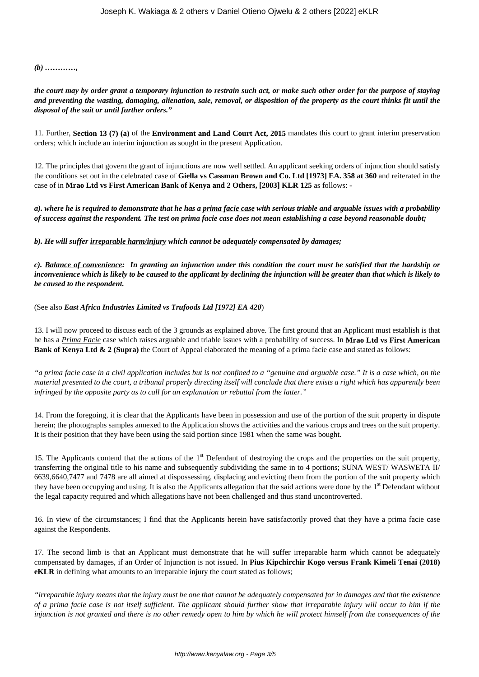*(b) …………,* 

*the court may by order grant a temporary injunction to restrain such act, or make such other order for the purpose of staying and preventing the wasting, damaging, alienation, sale, removal, or disposition of the property as the court thinks fit until the disposal of the suit or until further orders."*

11. Further, **Section 13 (7) (a)** of the **Environment and Land Court Act, 2015** mandates this court to grant interim preservation orders; which include an interim injunction as sought in the present Application.

12. The principles that govern the grant of injunctions are now well settled. An applicant seeking orders of injunction should satisfy the conditions set out in the celebrated case of **Giella vs Cassman Brown and Co. Ltd [1973] EA. 358 at 360** and reiterated in the case of in **Mrao Ltd vs First American Bank of Kenya and 2 Others, [2003] KLR 125** as follows: -

*a). where he is required to demonstrate that he has a prima facie case with serious triable and arguable issues with a probability of success against the respondent. The test on prima facie case does not mean establishing a case beyond reasonable doubt;*

*b). He will suffer irreparable harm/injury which cannot be adequately compensated by damages;*

*c). Balance of convenience: In granting an injunction under this condition the court must be satisfied that the hardship or inconvenience which is likely to be caused to the applicant by declining the injunction will be greater than that which is likely to be caused to the respondent.*

(See also *East Africa Industries Limited vs Trufoods Ltd [1972] EA 420*)

13. I will now proceed to discuss each of the 3 grounds as explained above. The first ground that an Applicant must establish is that he has a *Prima Facie* case which raises arguable and triable issues with a probability of success. In **Mrao Ltd vs First American Bank of Kenya Ltd & 2 (Supra)** the Court of Appeal elaborated the meaning of a prima facie case and stated as follows:

*"a prima facie case in a civil application includes but is not confined to a "genuine and arguable case." It is a case which, on the material presented to the court, a tribunal properly directing itself will conclude that there exists a right which has apparently been infringed by the opposite party as to call for an explanation or rebuttal from the latter."*

14. From the foregoing, it is clear that the Applicants have been in possession and use of the portion of the suit property in dispute herein; the photographs samples annexed to the Application shows the activities and the various crops and trees on the suit property. It is their position that they have been using the said portion since 1981 when the same was bought.

15. The Applicants contend that the actions of the 1<sup>st</sup> Defendant of destroying the crops and the properties on the suit property, transferring the original title to his name and subsequently subdividing the same in to 4 portions; SUNA WEST/ WASWETA II/ 6639,6640,7477 and 7478 are all aimed at dispossessing, displacing and evicting them from the portion of the suit property which they have been occupying and using. It is also the Applicants allegation that the said actions were done by the 1<sup>st</sup> Defendant without the legal capacity required and which allegations have not been challenged and thus stand uncontroverted.

16. In view of the circumstances; I find that the Applicants herein have satisfactorily proved that they have a prima facie case against the Respondents.

17. The second limb is that an Applicant must demonstrate that he will suffer irreparable harm which cannot be adequately compensated by damages, if an Order of Injunction is not issued. In **Pius Kipchirchir Kogo versus Frank Kimeli Tenai (2018) eKLR** in defining what amounts to an irreparable injury the court stated as follows;

*"irreparable injury means that the injury must be one that cannot be adequately compensated for in damages and that the existence of a prima facie case is not itself sufficient. The applicant should further show that irreparable injury will occur to him if the injunction is not granted and there is no other remedy open to him by which he will protect himself from the consequences of the*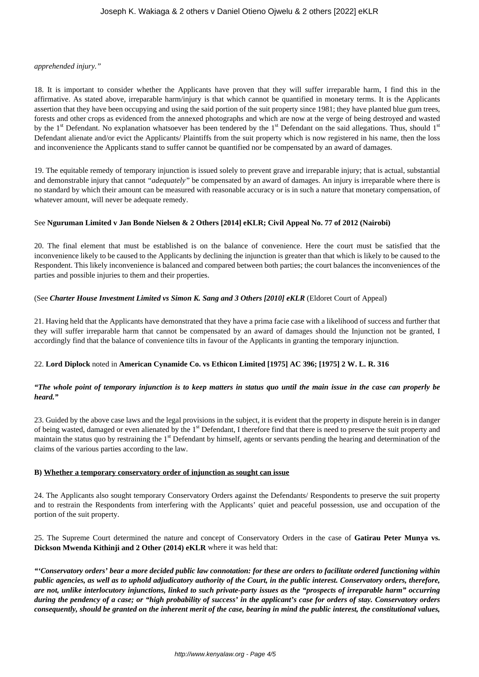#### *apprehended injury."*

18. It is important to consider whether the Applicants have proven that they will suffer irreparable harm, I find this in the affirmative. As stated above, irreparable harm/injury is that which cannot be quantified in monetary terms. It is the Applicants assertion that they have been occupying and using the said portion of the suit property since 1981; they have planted blue gum trees, forests and other crops as evidenced from the annexed photographs and which are now at the verge of being destroyed and wasted by the 1<sup>st</sup> Defendant. No explanation whatsoever has been tendered by the 1<sup>st</sup> Defendant on the said allegations. Thus, should 1<sup>st</sup> Defendant alienate and/or evict the Applicants/ Plaintiffs from the suit property which is now registered in his name, then the loss and inconvenience the Applicants stand to suffer cannot be quantified nor be compensated by an award of damages.

19. The equitable remedy of temporary injunction is issued solely to prevent grave and irreparable injury; that is actual, substantial and demonstrable injury that cannot *"adequately"* be compensated by an award of damages. An injury is irreparable where there is no standard by which their amount can be measured with reasonable accuracy or is in such a nature that monetary compensation, of whatever amount, will never be adequate remedy.

# See **Nguruman Limited v Jan Bonde Nielsen & 2 Others [2014] eKLR; Civil Appeal No. 77 of 2012 (Nairobi)**

20. The final element that must be established is on the balance of convenience. Here the court must be satisfied that the inconvenience likely to be caused to the Applicants by declining the injunction is greater than that which is likely to be caused to the Respondent. This likely inconvenience is balanced and compared between both parties; the court balances the inconveniences of the parties and possible injuries to them and their properties.

# (See *Charter House Investment Limited vs Simon K. Sang and 3 Others [2010] eKLR* (Eldoret Court of Appeal)

21. Having held that the Applicants have demonstrated that they have a prima facie case with a likelihood of success and further that they will suffer irreparable harm that cannot be compensated by an award of damages should the Injunction not be granted, I accordingly find that the balance of convenience tilts in favour of the Applicants in granting the temporary injunction.

# 22. **Lord Diplock** noted in **American Cynamide Co. vs Ethicon Limited [1975] AC 396; [1975] 2 W. L. R. 316**

# *"The whole point of temporary injunction is to keep matters in status quo until the main issue in the case can properly be heard."*

23. Guided by the above case laws and the legal provisions in the subject, it is evident that the property in dispute herein is in danger of being wasted, damaged or even alienated by the 1<sup>st</sup> Defendant, I therefore find that there is need to preserve the suit property and maintain the status quo by restraining the 1<sup>st</sup> Defendant by himself, agents or servants pending the hearing and determination of the claims of the various parties according to the law.

# **B) Whether a temporary conservatory order of injunction as sought can issue**

24. The Applicants also sought temporary Conservatory Orders against the Defendants/ Respondents to preserve the suit property and to restrain the Respondents from interfering with the Applicants' quiet and peaceful possession, use and occupation of the portion of the suit property.

25. The Supreme Court determined the nature and concept of Conservatory Orders in the case of **Gatirau Peter Munya vs. Dickson Mwenda Kithinji and 2 Other (2014) eKLR** where it was held that:

*"'Conservatory orders' bear a more decided public law connotation: for these are orders to facilitate ordered functioning within public agencies, as well as to uphold adjudicatory authority of the Court, in the public interest. Conservatory orders, therefore, are not, unlike interlocutory injunctions, linked to such private-party issues as the "prospects of irreparable harm" occurring during the pendency of a case; or "high probability of success' in the applicant's case for orders of stay. Conservatory orders consequently, should be granted on the inherent merit of the case, bearing in mind the public interest, the constitutional values,*